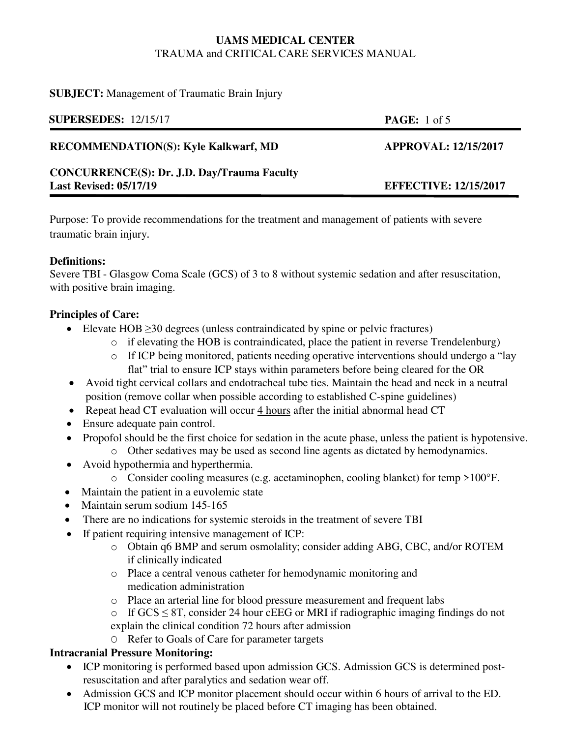#### **SUBJECT:** Management of Traumatic Brain Injury

| <b>SUPERSEDES: 12/15/17</b>                        | <b>PAGE:</b> 1 of 5          |
|----------------------------------------------------|------------------------------|
| <b>RECOMMENDATION(S): Kyle Kalkwarf, MD</b>        | <b>APPROVAL: 12/15/2017</b>  |
| <b>CONCURRENCE(S): Dr. J.D. Day/Trauma Faculty</b> |                              |
| <b>Last Revised: 05/17/19</b>                      | <b>EFFECTIVE: 12/15/2017</b> |

Purpose: To provide recommendations for the treatment and management of patients with severe traumatic brain injury.

#### **Definitions:**

Severe TBI - Glasgow Coma Scale (GCS) of 3 to 8 without systemic sedation and after resuscitation, with positive brain imaging.

# **Principles of Care:**

- Elevate HOB ≥30 degrees (unless contraindicated by spine or pelvic fractures)
	- o if elevating the HOB is contraindicated, place the patient in reverse Trendelenburg)
	- o If ICP being monitored, patients needing operative interventions should undergo a "lay flat" trial to ensure ICP stays within parameters before being cleared for the OR
- Avoid tight cervical collars and endotracheal tube ties. Maintain the head and neck in a neutral position (remove collar when possible according to established C-spine guidelines)
- Repeat head CT evaluation will occur 4 hours after the initial abnormal head CT
- Ensure adequate pain control.
- Propofol should be the first choice for sedation in the acute phase, unless the patient is hypotensive.
	- o Other sedatives may be used as second line agents as dictated by hemodynamics.
- Avoid hypothermia and hyperthermia.
	- o Consider cooling measures (e.g. acetaminophen, cooling blanket) for temp >100°F.
- Maintain the patient in a euvolemic state
- Maintain serum sodium 145-165
- There are no indications for systemic steroids in the treatment of severe TBI
- If patient requiring intensive management of ICP:
	- o Obtain q6 BMP and serum osmolality; consider adding ABG, CBC, and/or ROTEM if clinically indicated
	- o Place a central venous catheter for hemodynamic monitoring and medication administration
	- o Place an arterial line for blood pressure measurement and frequent labs
	- o If GCS  $\leq$  8T, consider 24 hour cEEG or MRI if radiographic imaging findings do not explain the clinical condition 72 hours after admission
	- O Refer to Goals of Care for parameter targets

# **Intracranial Pressure Monitoring:**

- ICP monitoring is performed based upon admission GCS. Admission GCS is determined postresuscitation and after paralytics and sedation wear off.
- Admission GCS and ICP monitor placement should occur within 6 hours of arrival to the ED. ICP monitor will not routinely be placed before CT imaging has been obtained.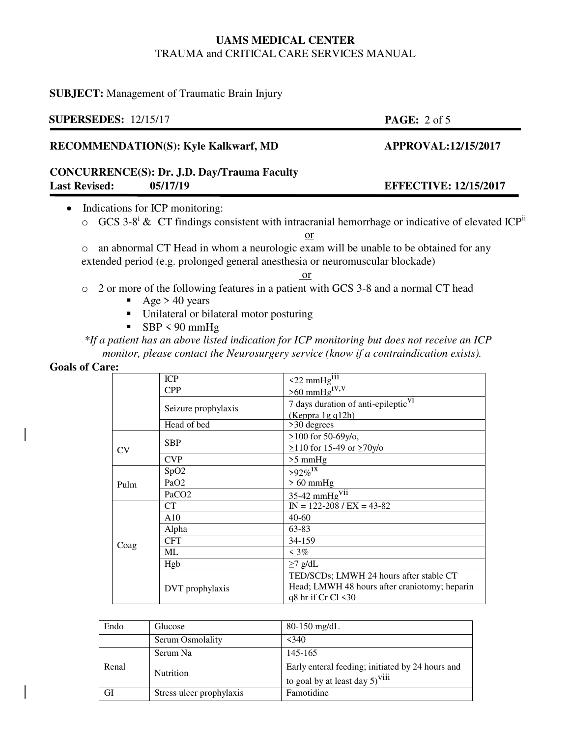#### **SUBJECT:** Management of Traumatic Brain Injury

# **SUPERSEDES:** 12/15/17 **PAGE:** 2 of 5 **RECOMMENDATION(S): Kyle Kalkwarf, MD APPROVAL:12/15/2017 CONCURRENCE(S): Dr. J.D. Day/Trauma Faculty Last Revised: 05/17/19 EFFECTIVE: 12/15/2017** • Indications for ICP monitoring:

 $\circ$  GCS 3-8<sup>i</sup> & CT findings consistent with intracranial hemorrhage or indicative of elevated ICP<sup>ii</sup>

o an abnormal CT Head in whom a neurologic exam will be unable to be obtained for any extended period (e.g. prolonged general anesthesia or neuromuscular blockade)

or

- o 2 or more of the following features in a patient with GCS 3-8 and a normal CT head
	- Age  $> 40$  years
	- Unilateral or bilateral motor posturing
	- $SBP < 90$  mmHg

*\*If a patient has an above listed indication for ICP monitoring but does not receive an ICP monitor, please contact the Neurosurgery service (know if a contraindication exists).*

#### **Goals of Care:**

|      | <b>ICP</b>          | $\leq$ 22 mmHg <sup>iii</sup>                                                                                  |  |
|------|---------------------|----------------------------------------------------------------------------------------------------------------|--|
|      | <b>CPP</b>          | $>60$ mmHg <sup>1V,V</sup>                                                                                     |  |
|      | Seizure prophylaxis | 7 days duration of anti-epileptic <sup>V1</sup><br>(Keppra $1gq12h$ )                                          |  |
|      | Head of bed         | >30 degrees                                                                                                    |  |
| CV   | <b>SBP</b>          | $>100$ for 50-69y/o,<br>$\geq$ 110 for 15-49 or $\geq$ 70y/o                                                   |  |
|      | <b>CVP</b>          | $>5$ mmHg                                                                                                      |  |
| Pulm | SpO2                | $>92\%$ <sup>1X</sup>                                                                                          |  |
|      | PaO <sub>2</sub>    | $>60$ mmHg                                                                                                     |  |
|      | PaCO <sub>2</sub>   | $35-42$ mmHg <sup>V11</sup>                                                                                    |  |
|      | CT.                 | $IN = 122 - 208 / EX = 43 - 82$                                                                                |  |
|      | A10                 | $40-60$                                                                                                        |  |
| Coag | Alpha               | 63-83                                                                                                          |  |
|      | <b>CFT</b>          | 34-159                                                                                                         |  |
|      | ML.                 | $\leq 3\%$                                                                                                     |  |
|      | Hgb                 | $\geq$ 7 g/dL                                                                                                  |  |
|      | DVT prophylaxis     | TED/SCDs; LMWH 24 hours after stable CT<br>Head; LMWH 48 hours after craniotomy; heparin<br>q8 hr if Cr Cl <30 |  |

| Endo  | Glucose                  | $80-150$ mg/dL                                                                          |
|-------|--------------------------|-----------------------------------------------------------------------------------------|
|       | Serum Osmolality         | $<$ 340                                                                                 |
| Renal | Serum Na                 | 145-165                                                                                 |
|       | <b>Nutrition</b>         | Early enteral feeding; initiated by 24 hours and<br>to goal by at least day $5)^{V111}$ |
| GI    | Stress ulcer prophylaxis | Famotidine                                                                              |

# or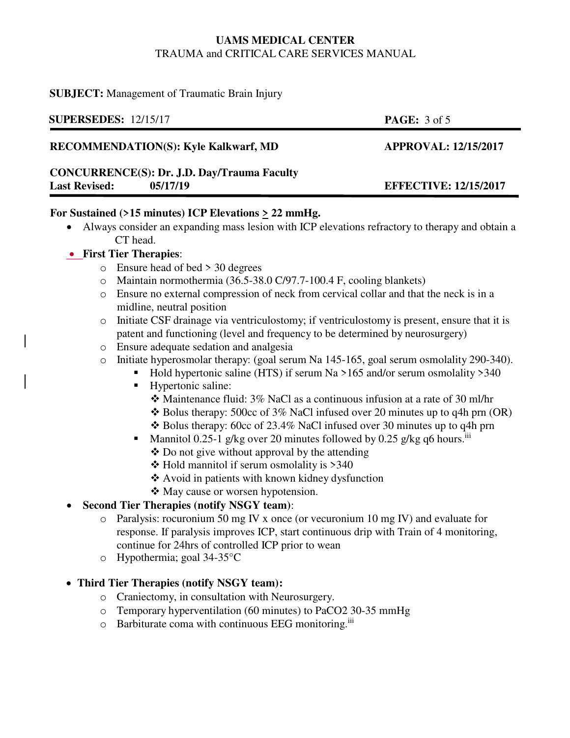#### **SUBJECT:** Management of Traumatic Brain Injury

| <b>SUPERSEDES: 12/15/17</b>                        | <b>PAGE:</b> $3 \text{ of } 5$ |  |  |
|----------------------------------------------------|--------------------------------|--|--|
| <b>RECOMMENDATION(S): Kyle Kalkwarf, MD</b>        | <b>APPROVAL: 12/15/2017</b>    |  |  |
| <b>CONCURRENCE(S): Dr. J.D. Day/Trauma Faculty</b> |                                |  |  |
| <b>Last Revised:</b><br>05/17/19                   | <b>EFFECTIVE: 12/15/2017</b>   |  |  |

#### **For Sustained (>15 minutes) ICP Elevations > 22 mmHg.**

 Always consider an expanding mass lesion with ICP elevations refractory to therapy and obtain a CT head.

#### **First Tier Therapies**:

- o Ensure head of bed > 30 degrees
- o Maintain normothermia (36.5-38.0 C/97.7-100.4 F, cooling blankets)
- o Ensure no external compression of neck from cervical collar and that the neck is in a midline, neutral position
- o Initiate CSF drainage via ventriculostomy; if ventriculostomy is present, ensure that it is patent and functioning (level and frequency to be determined by neurosurgery)
- o Ensure adequate sedation and analgesia
- o Initiate hyperosmolar therapy: (goal serum Na 145-165, goal serum osmolality 290-340).
	- Hold hypertonic saline (HTS) if serum Na  $>165$  and/or serum osmolality  $>340$
	- **Hypertonic saline:** 
		- Maintenance fluid: 3% NaCl as a continuous infusion at a rate of 30 ml/hr
		- $\triangle$  Bolus therapy: 500cc of 3% NaCl infused over 20 minutes up to q4h prn (OR)
		- $\triangle$  Bolus therapy: 60cc of 23.4% NaCl infused over 30 minutes up to q4h prn
	- **Mannitol 0.25-1 g/kg over 20 minutes followed by 0.25 g/kg q6 hours.** In Mannitol 0.25-1 g/kg over 20 minutes followed by 0.25 g/kg q6 hours.
		- $\triangle$  Do not give without approval by the attending
		- $\div$  Hold mannitol if serum osmolality is >340
		- Avoid in patients with known kidney dysfunction
		- ❖ May cause or worsen hypotension.

#### **Second Tier Therapies (notify NSGY team)**:

- o Paralysis: rocuronium 50 mg IV x once (or vecuronium 10 mg IV) and evaluate for response. If paralysis improves ICP, start continuous drip with Train of 4 monitoring, continue for 24hrs of controlled ICP prior to wean
- o Hypothermia; goal 34-35°C

#### **Third Tier Therapies (notify NSGY team):**

- o Craniectomy, in consultation with Neurosurgery.
- o Temporary hyperventilation (60 minutes) to PaCO2 30-35 mmHg
- o Barbiturate coma with continuous EEG monitoring.iii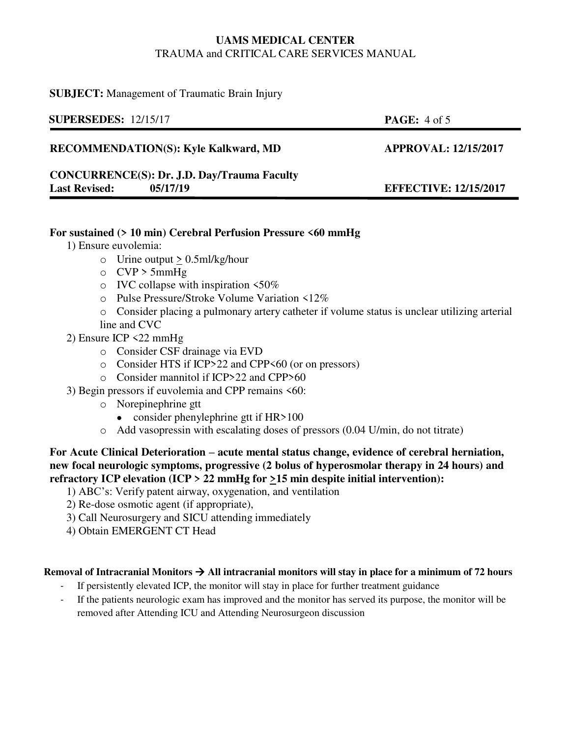#### **SUBJECT:** Management of Traumatic Brain Injury

| <b>SUPERSEDES: 12/15/17</b>                        | <b>PAGE:</b> $4 \text{ of } 5$ |
|----------------------------------------------------|--------------------------------|
| <b>RECOMMENDATION(S): Kyle Kalkward, MD</b>        | <b>APPROVAL: 12/15/2017</b>    |
| <b>CONCURRENCE(S): Dr. J.D. Day/Trauma Faculty</b> |                                |
| <b>Last Revised:</b><br>05/17/19                   | <b>EFFECTIVE: 12/15/2017</b>   |

#### **For sustained (> 10 min) Cerebral Perfusion Pressure <60 mmHg**

1) Ensure euvolemia:

- $\circ$  Urine output  $\geq$  0.5ml/kg/hour
- $\circ$  CVP > 5mmHg
- $\circ$  IVC collapse with inspiration <50%
- o Pulse Pressure/Stroke Volume Variation <12%
- o Consider placing a pulmonary artery catheter if volume status is unclear utilizing arterial line and CVC
- 2) Ensure ICP <22 mmHg
	- o Consider CSF drainage via EVD
	- o Consider HTS if ICP>22 and CPP<60 (or on pressors)
	- o Consider mannitol if ICP>22 and CPP>60
- 3) Begin pressors if euvolemia and CPP remains <60:
	- o Norepinephrine gtt
		- consider phenylephrine gtt if  $HR > 100$
	- o Add vasopressin with escalating doses of pressors (0.04 U/min, do not titrate)

#### **For Acute Clinical Deterioration – acute mental status change, evidence of cerebral herniation, new focal neurologic symptoms, progressive (2 bolus of hyperosmolar therapy in 24 hours) and refractory ICP elevation (ICP > 22 mmHg for >15 min despite initial intervention):**

- 1) ABC's: Verify patent airway, oxygenation, and ventilation
- 2) Re-dose osmotic agent (if appropriate),
- 3) Call Neurosurgery and SICU attending immediately
- 4) Obtain EMERGENT CT Head

#### **Removal of Intracranial Monitors All intracranial monitors will stay in place for a minimum of 72 hours**

- If persistently elevated ICP, the monitor will stay in place for further treatment guidance
- If the patients neurologic exam has improved and the monitor has served its purpose, the monitor will be removed after Attending ICU and Attending Neurosurgeon discussion